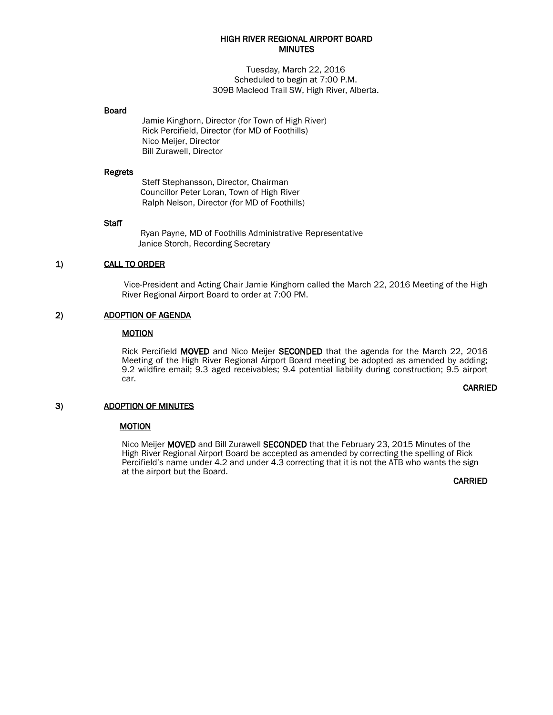### HIGH RIVER REGIONAL AIRPORT BOARD **MINUTES**

Tuesday, March 22, 2016 Scheduled to begin at 7:00 P.M. 309B Macleod Trail SW, High River, Alberta.

#### Board

Jamie Kinghorn, Director (for Town of High River) Rick Percifield, Director (for MD of Foothills) Nico Meijer, Director Bill Zurawell, Director

#### Regrets

Steff Stephansson, Director, Chairman Councillor Peter Loran, Town of High River Ralph Nelson, Director (for MD of Foothills)

#### **Staff**

 Ryan Payne, MD of Foothills Administrative Representative Janice Storch, Recording Secretary

### 1) CALL TO ORDER

Vice-President and Acting Chair Jamie Kinghorn called the March 22, 2016 Meeting of the High River Regional Airport Board to order at 7:00 PM.

## 2) ADOPTION OF AGENDA

# **MOTION**

Rick Percifield MOVED and Nico Meijer SECONDED that the agenda for the March 22, 2016 Meeting of the High River Regional Airport Board meeting be adopted as amended by adding; 9.2 wildfire email; 9.3 aged receivables; 9.4 potential liability during construction; 9.5 airport car.

#### **CARRIED**

#### 3) ADOPTION OF MINUTES

#### **MOTION**

Nico Meijer MOVED and Bill Zurawell SECONDED that the February 23, 2015 Minutes of the High River Regional Airport Board be accepted as amended by correcting the spelling of Rick Percifield's name under 4.2 and under 4.3 correcting that it is not the ATB who wants the sign at the airport but the Board.

CARRIED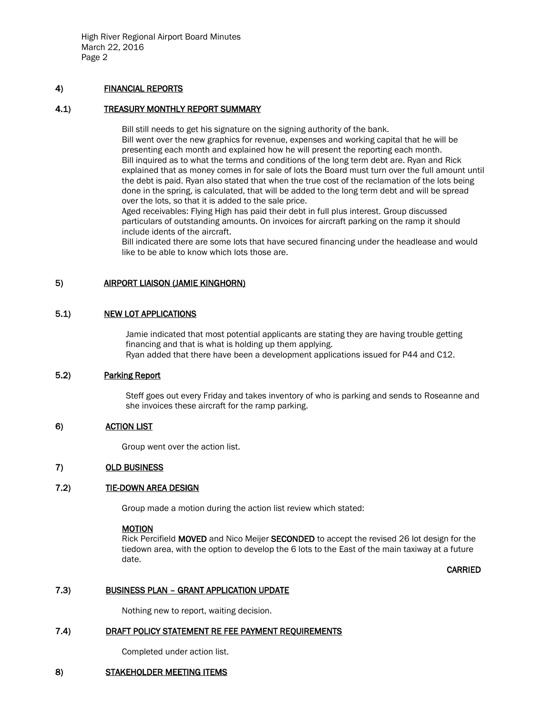High River Regional Airport Board Minutes March 22, 2016 Page 2

## 4) FINANCIAL REPORTS

## 4.1) TREASURY MONTHLY REPORT SUMMARY

Bill still needs to get his signature on the signing authority of the bank. Bill went over the new graphics for revenue, expenses and working capital that he will be presenting each month and explained how he will present the reporting each month. Bill inquired as to what the terms and conditions of the long term debt are. Ryan and Rick explained that as money comes in for sale of lots the Board must turn over the full amount until the debt is paid. Ryan also stated that when the true cost of the reclamation of the lots being done in the spring, is calculated, that will be added to the long term debt and will be spread over the lots, so that it is added to the sale price.

Aged receivables: Flying High has paid their debt in full plus interest. Group discussed particulars of outstanding amounts. On invoices for aircraft parking on the ramp it should include idents of the aircraft.

Bill indicated there are some lots that have secured financing under the headlease and would like to be able to know which lots those are.

## 5) AIRPORT LIAISON (JAMIE KINGHORN)

## 5.1) NEW LOT APPLICATIONS

Jamie indicated that most potential applicants are stating they are having trouble getting financing and that is what is holding up them applying. Ryan added that there have been a development applications issued for P44 and C12.

## 5.2) Parking Report

Steff goes out every Friday and takes inventory of who is parking and sends to Roseanne and she invoices these aircraft for the ramp parking.

# 6) ACTION LIST

Group went over the action list.

## 7) OLD BUSINESS

#### 7.2) TIE-DOWN AREA DESIGN

Group made a motion during the action list review which stated:

#### MOTION

Rick Percifield MOVED and Nico Meijer SECONDED to accept the revised 26 lot design for the tiedown area, with the option to develop the 6 lots to the East of the main taxiway at a future date.

CARRIED

#### 7.3) BUSINESS PLAN – GRANT APPLICATION UPDATE

Nothing new to report, waiting decision.

#### 7.4) DRAFT POLICY STATEMENT RE FEE PAYMENT REQUIREMENTS

Completed under action list.

#### 8) STAKEHOLDER MEETING ITEMS